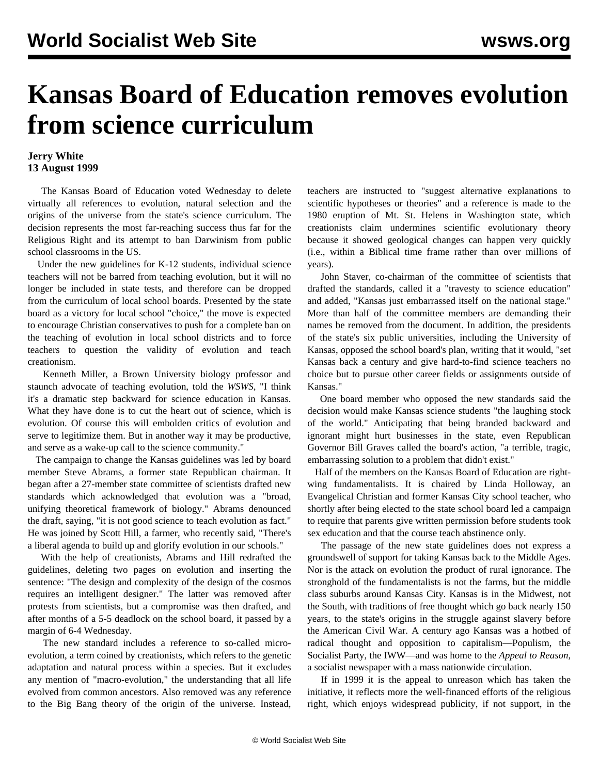## **Kansas Board of Education removes evolution from science curriculum**

## **Jerry White 13 August 1999**

 The Kansas Board of Education voted Wednesday to delete virtually all references to evolution, natural selection and the origins of the universe from the state's science curriculum. The decision represents the most far-reaching success thus far for the Religious Right and its attempt to ban Darwinism from public school classrooms in the US.

 Under the new guidelines for K-12 students, individual science teachers will not be barred from teaching evolution, but it will no longer be included in state tests, and therefore can be dropped from the curriculum of local school boards. Presented by the state board as a victory for local school "choice," the move is expected to encourage Christian conservatives to push for a complete ban on the teaching of evolution in local school districts and to force teachers to question the validity of evolution and teach creationism.

 Kenneth Miller, a Brown University biology professor and staunch advocate of teaching evolution, told the *WSWS*, "I think it's a dramatic step backward for science education in Kansas. What they have done is to cut the heart out of science, which is evolution. Of course this will embolden critics of evolution and serve to legitimize them. But in another way it may be productive, and serve as a wake-up call to the science community."

 The campaign to change the Kansas guidelines was led by board member Steve Abrams, a former state Republican chairman. It began after a 27-member state committee of scientists drafted new standards which acknowledged that evolution was a "broad, unifying theoretical framework of biology." Abrams denounced the draft, saying, "it is not good science to teach evolution as fact." He was joined by Scott Hill, a farmer, who recently said, "There's a liberal agenda to build up and glorify evolution in our schools."

 With the help of creationists, Abrams and Hill redrafted the guidelines, deleting two pages on evolution and inserting the sentence: "The design and complexity of the design of the cosmos requires an intelligent designer." The latter was removed after protests from scientists, but a compromise was then drafted, and after months of a 5-5 deadlock on the school board, it passed by a margin of 6-4 Wednesday.

 The new standard includes a reference to so-called microevolution, a term coined by creationists, which refers to the genetic adaptation and natural process within a species. But it excludes any mention of "macro-evolution," the understanding that all life evolved from common ancestors. Also removed was any reference to the Big Bang theory of the origin of the universe. Instead, teachers are instructed to "suggest alternative explanations to scientific hypotheses or theories" and a reference is made to the 1980 eruption of Mt. St. Helens in Washington state, which creationists claim undermines scientific evolutionary theory because it showed geological changes can happen very quickly (i.e., within a Biblical time frame rather than over millions of years).

 John Staver, co-chairman of the committee of scientists that drafted the standards, called it a "travesty to science education" and added, "Kansas just embarrassed itself on the national stage." More than half of the committee members are demanding their names be removed from the document. In addition, the presidents of the state's six public universities, including the University of Kansas, opposed the school board's plan, writing that it would, "set Kansas back a century and give hard-to-find science teachers no choice but to pursue other career fields or assignments outside of Kansas."

 One board member who opposed the new standards said the decision would make Kansas science students "the laughing stock of the world." Anticipating that being branded backward and ignorant might hurt businesses in the state, even Republican Governor Bill Graves called the board's action, "a terrible, tragic, embarrassing solution to a problem that didn't exist."

 Half of the members on the Kansas Board of Education are rightwing fundamentalists. It is chaired by Linda Holloway, an Evangelical Christian and former Kansas City school teacher, who shortly after being elected to the state school board led a campaign to require that parents give written permission before students took sex education and that the course teach abstinence only.

 The passage of the new state guidelines does not express a groundswell of support for taking Kansas back to the Middle Ages. Nor is the attack on evolution the product of rural ignorance. The stronghold of the fundamentalists is not the farms, but the middle class suburbs around Kansas City. Kansas is in the Midwest, not the South, with traditions of free thought which go back nearly 150 years, to the state's origins in the struggle against slavery before the American Civil War. A century ago Kansas was a hotbed of radical thought and opposition to capitalism—Populism, the Socialist Party, the IWW—and was home to the *Appeal to Reason*, a socialist newspaper with a mass nationwide circulation.

 If in 1999 it is the appeal to unreason which has taken the initiative, it reflects more the well-financed efforts of the religious right, which enjoys widespread publicity, if not support, in the